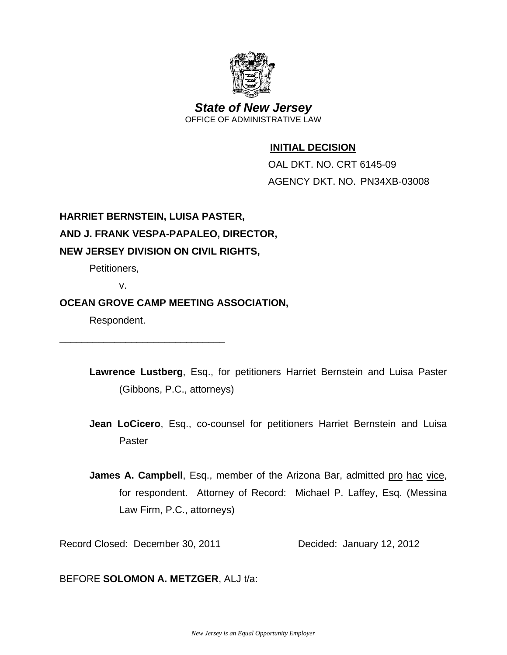

*State of New Jersey*  OFFICE OF ADMINISTRATIVE LAW

## **INITIAL DECISION**

 OAL DKT. NO. CRT 6145-09 AGENCY DKT. NO. PN34XB-03008

# **HARRIET BERNSTEIN, LUISA PASTER,**

### **AND J. FRANK VESPA-PAPALEO, DIRECTOR,**

#### **NEW JERSEY DIVISION ON CIVIL RIGHTS,**

Petitioners,

v.

### **OCEAN GROVE CAMP MEETING ASSOCIATION,**

Respondent.

\_\_\_\_\_\_\_\_\_\_\_\_\_\_\_\_\_\_\_\_\_\_\_\_\_\_\_\_\_\_

- **Lawrence Lustberg**, Esq., for petitioners Harriet Bernstein and Luisa Paster (Gibbons, P.C., attorneys)
- **Jean LoCicero**, Esq., co-counsel for petitioners Harriet Bernstein and Luisa Paster
- **James A. Campbell**, Esq., member of the Arizona Bar, admitted pro hac vice, for respondent. Attorney of Record: Michael P. Laffey, Esq. (Messina Law Firm, P.C., attorneys)

Record Closed: December 30, 2011 Decided: January 12, 2012

BEFORE **SOLOMON A. METZGER**, ALJ t/a: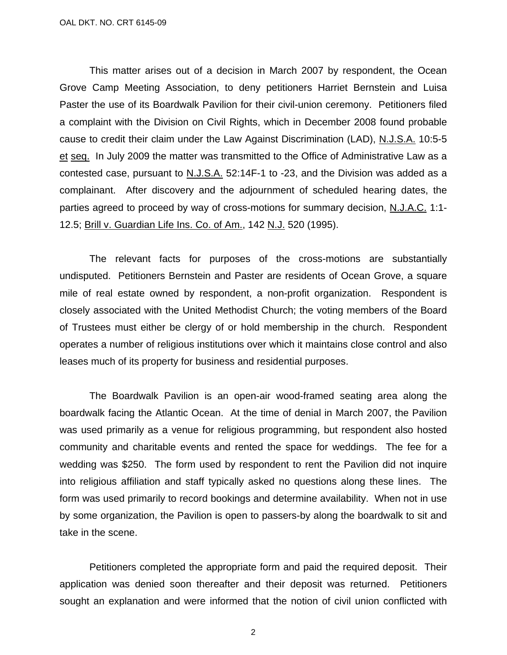This matter arises out of a decision in March 2007 by respondent, the Ocean Grove Camp Meeting Association, to deny petitioners Harriet Bernstein and Luisa Paster the use of its Boardwalk Pavilion for their civil-union ceremony. Petitioners filed a complaint with the Division on Civil Rights, which in December 2008 found probable cause to credit their claim under the Law Against Discrimination (LAD), N.J.S.A. 10:5-5 et seq. In July 2009 the matter was transmitted to the Office of Administrative Law as a contested case, pursuant to N.J.S.A. 52:14F-1 to -23, and the Division was added as a complainant. After discovery and the adjournment of scheduled hearing dates, the parties agreed to proceed by way of cross-motions for summary decision, N.J.A.C. 1:1- 12.5; Brill v. Guardian Life Ins. Co. of Am., 142 N.J. 520 (1995).

 The relevant facts for purposes of the cross-motions are substantially undisputed. Petitioners Bernstein and Paster are residents of Ocean Grove, a square mile of real estate owned by respondent, a non-profit organization. Respondent is closely associated with the United Methodist Church; the voting members of the Board of Trustees must either be clergy of or hold membership in the church. Respondent operates a number of religious institutions over which it maintains close control and also leases much of its property for business and residential purposes.

 The Boardwalk Pavilion is an open-air wood-framed seating area along the boardwalk facing the Atlantic Ocean. At the time of denial in March 2007, the Pavilion was used primarily as a venue for religious programming, but respondent also hosted community and charitable events and rented the space for weddings. The fee for a wedding was \$250. The form used by respondent to rent the Pavilion did not inquire into religious affiliation and staff typically asked no questions along these lines. The form was used primarily to record bookings and determine availability. When not in use by some organization, the Pavilion is open to passers-by along the boardwalk to sit and take in the scene.

 Petitioners completed the appropriate form and paid the required deposit. Their application was denied soon thereafter and their deposit was returned. Petitioners sought an explanation and were informed that the notion of civil union conflicted with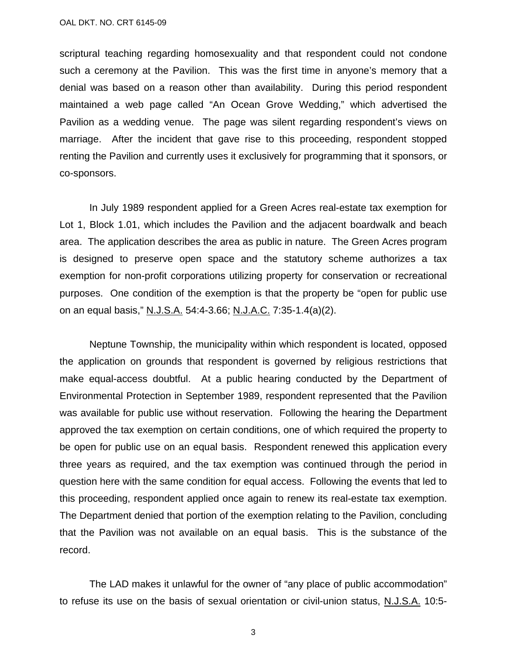scriptural teaching regarding homosexuality and that respondent could not condone such a ceremony at the Pavilion. This was the first time in anyone's memory that a denial was based on a reason other than availability. During this period respondent maintained a web page called "An Ocean Grove Wedding," which advertised the Pavilion as a wedding venue. The page was silent regarding respondent's views on marriage. After the incident that gave rise to this proceeding, respondent stopped renting the Pavilion and currently uses it exclusively for programming that it sponsors, or co-sponsors.

 In July 1989 respondent applied for a Green Acres real-estate tax exemption for Lot 1, Block 1.01, which includes the Pavilion and the adjacent boardwalk and beach area. The application describes the area as public in nature. The Green Acres program is designed to preserve open space and the statutory scheme authorizes a tax exemption for non-profit corporations utilizing property for conservation or recreational purposes. One condition of the exemption is that the property be "open for public use on an equal basis," N.J.S.A. 54:4-3.66; N.J.A.C. 7:35-1.4(a)(2).

 Neptune Township, the municipality within which respondent is located, opposed the application on grounds that respondent is governed by religious restrictions that make equal-access doubtful. At a public hearing conducted by the Department of Environmental Protection in September 1989, respondent represented that the Pavilion was available for public use without reservation. Following the hearing the Department approved the tax exemption on certain conditions, one of which required the property to be open for public use on an equal basis. Respondent renewed this application every three years as required, and the tax exemption was continued through the period in question here with the same condition for equal access. Following the events that led to this proceeding, respondent applied once again to renew its real-estate tax exemption. The Department denied that portion of the exemption relating to the Pavilion, concluding that the Pavilion was not available on an equal basis. This is the substance of the record.

 The LAD makes it unlawful for the owner of "any place of public accommodation" to refuse its use on the basis of sexual orientation or civil-union status, N.J.S.A. 10:5-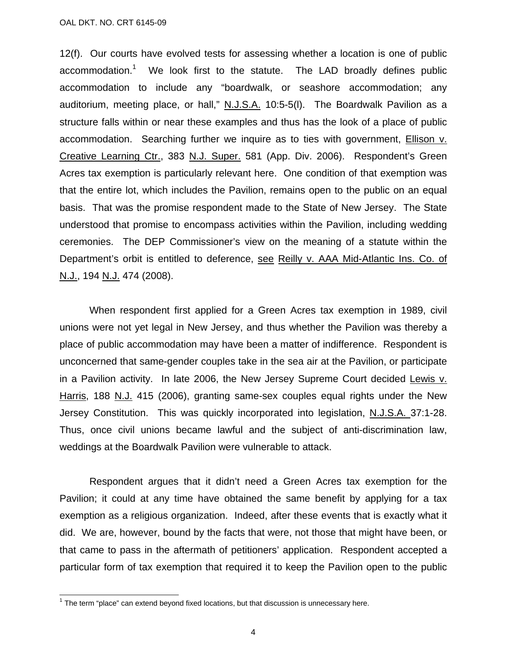12(f). Our courts have evolved tests for assessing whether a location is one of public accommodation.<sup>1</sup> We look first to the statute. The LAD broadly defines public accommodation to include any "boardwalk, or seashore accommodation; any auditorium, meeting place, or hall," N.J.S.A. 10:5-5(l). The Boardwalk Pavilion as a structure falls within or near these examples and thus has the look of a place of public accommodation. Searching further we inquire as to ties with government, Ellison v. Creative Learning Ctr., 383 N.J. Super. 581 (App. Div. 2006). Respondent's Green Acres tax exemption is particularly relevant here. One condition of that exemption was that the entire lot, which includes the Pavilion, remains open to the public on an equal basis. That was the promise respondent made to the State of New Jersey. The State understood that promise to encompass activities within the Pavilion, including wedding ceremonies. The DEP Commissioner's view on the meaning of a statute within the Department's orbit is entitled to deference, see Reilly v. AAA Mid-Atlantic Ins. Co. of N.J., 194 N.J. 474 (2008).

 When respondent first applied for a Green Acres tax exemption in 1989, civil unions were not yet legal in New Jersey, and thus whether the Pavilion was thereby a place of public accommodation may have been a matter of indifference. Respondent is unconcerned that same-gender couples take in the sea air at the Pavilion, or participate in a Pavilion activity. In late 2006, the New Jersey Supreme Court decided Lewis v. Harris, 188 N.J. 415 (2006), granting same-sex couples equal rights under the New Jersey Constitution. This was quickly incorporated into legislation, N.J.S.A. 37:1-28. Thus, once civil unions became lawful and the subject of anti-discrimination law, weddings at the Boardwalk Pavilion were vulnerable to attack.

 Respondent argues that it didn't need a Green Acres tax exemption for the Pavilion; it could at any time have obtained the same benefit by applying for a tax exemption as a religious organization. Indeed, after these events that is exactly what it did. We are, however, bound by the facts that were, not those that might have been, or that came to pass in the aftermath of petitioners' application. Respondent accepted a particular form of tax exemption that required it to keep the Pavilion open to the public

 $\overline{a}$ 

 $1$  The term "place" can extend beyond fixed locations, but that discussion is unnecessary here.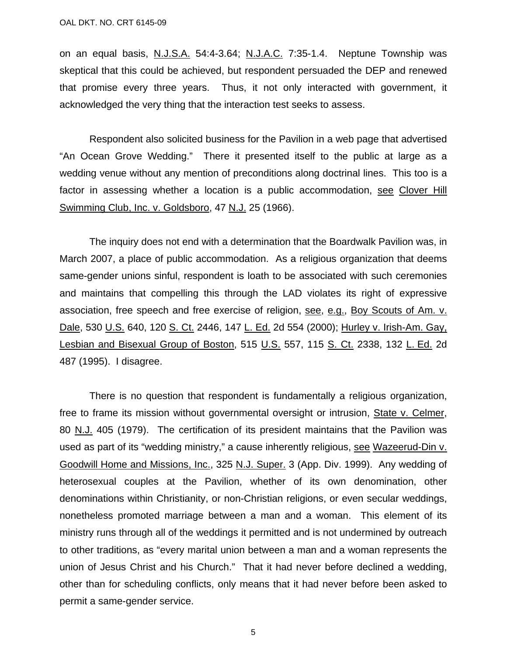on an equal basis, N.J.S.A. 54:4-3.64; N.J.A.C. 7:35-1.4. Neptune Township was skeptical that this could be achieved, but respondent persuaded the DEP and renewed that promise every three years. Thus, it not only interacted with government, it acknowledged the very thing that the interaction test seeks to assess.

 Respondent also solicited business for the Pavilion in a web page that advertised "An Ocean Grove Wedding." There it presented itself to the public at large as a wedding venue without any mention of preconditions along doctrinal lines. This too is a factor in assessing whether a location is a public accommodation, see Clover Hill Swimming Club, Inc. v. Goldsboro, 47 N.J. 25 (1966).

 The inquiry does not end with a determination that the Boardwalk Pavilion was, in March 2007, a place of public accommodation. As a religious organization that deems same-gender unions sinful, respondent is loath to be associated with such ceremonies and maintains that compelling this through the LAD violates its right of expressive association, free speech and free exercise of religion, see, e.g., Boy Scouts of Am. v. Dale, 530 U.S. 640, 120 S. Ct. 2446, 147 L. Ed. 2d 554 (2000); Hurley v. Irish-Am. Gay, Lesbian and Bisexual Group of Boston, 515 U.S. 557, 115 S. Ct. 2338, 132 L. Ed. 2d 487 (1995). I disagree.

 There is no question that respondent is fundamentally a religious organization, free to frame its mission without governmental oversight or intrusion, State v. Celmer, 80 N.J. 405 (1979). The certification of its president maintains that the Pavilion was used as part of its "wedding ministry," a cause inherently religious, see Wazeerud-Din v. Goodwill Home and Missions, Inc., 325 N.J. Super. 3 (App. Div. 1999). Any wedding of heterosexual couples at the Pavilion, whether of its own denomination, other denominations within Christianity, or non-Christian religions, or even secular weddings, nonetheless promoted marriage between a man and a woman. This element of its ministry runs through all of the weddings it permitted and is not undermined by outreach to other traditions, as "every marital union between a man and a woman represents the union of Jesus Christ and his Church." That it had never before declined a wedding, other than for scheduling conflicts, only means that it had never before been asked to permit a same-gender service.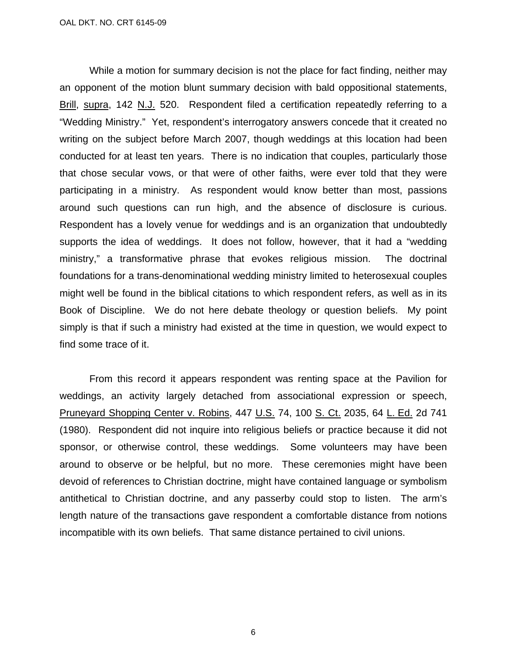While a motion for summary decision is not the place for fact finding, neither may an opponent of the motion blunt summary decision with bald oppositional statements, Brill, supra, 142 N.J. 520. Respondent filed a certification repeatedly referring to a "Wedding Ministry." Yet, respondent's interrogatory answers concede that it created no writing on the subject before March 2007, though weddings at this location had been conducted for at least ten years. There is no indication that couples, particularly those that chose secular vows, or that were of other faiths, were ever told that they were participating in a ministry. As respondent would know better than most, passions around such questions can run high, and the absence of disclosure is curious. Respondent has a lovely venue for weddings and is an organization that undoubtedly supports the idea of weddings. It does not follow, however, that it had a "wedding ministry," a transformative phrase that evokes religious mission. The doctrinal foundations for a trans-denominational wedding ministry limited to heterosexual couples might well be found in the biblical citations to which respondent refers, as well as in its Book of Discipline. We do not here debate theology or question beliefs. My point simply is that if such a ministry had existed at the time in question, we would expect to find some trace of it.

 From this record it appears respondent was renting space at the Pavilion for weddings, an activity largely detached from associational expression or speech, Pruneyard Shopping Center v. Robins, 447 U.S. 74, 100 S. Ct. 2035, 64 L. Ed. 2d 741 (1980). Respondent did not inquire into religious beliefs or practice because it did not sponsor, or otherwise control, these weddings. Some volunteers may have been around to observe or be helpful, but no more. These ceremonies might have been devoid of references to Christian doctrine, might have contained language or symbolism antithetical to Christian doctrine, and any passerby could stop to listen. The arm's length nature of the transactions gave respondent a comfortable distance from notions incompatible with its own beliefs. That same distance pertained to civil unions.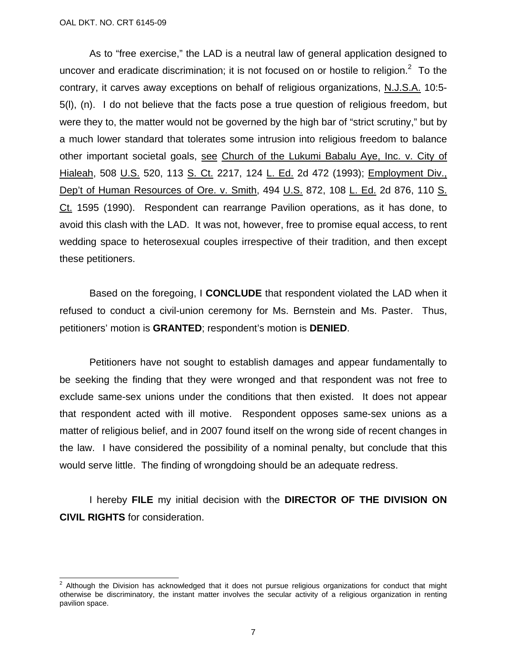$\overline{\phantom{a}}$ 

 As to "free exercise," the LAD is a neutral law of general application designed to uncover and eradicate discrimination; it is not focused on or hostile to religion. $2$  To the contrary, it carves away exceptions on behalf of religious organizations, N.J.S.A. 10:5- 5(l), (n). I do not believe that the facts pose a true question of religious freedom, but were they to, the matter would not be governed by the high bar of "strict scrutiny," but by a much lower standard that tolerates some intrusion into religious freedom to balance other important societal goals, see Church of the Lukumi Babalu Aye, Inc. v. City of Hialeah, 508 U.S. 520, 113 S. Ct. 2217, 124 L. Ed. 2d 472 (1993); Employment Div., Dep't of Human Resources of Ore. v. Smith, 494 U.S. 872, 108 L. Ed. 2d 876, 110 S. Ct. 1595 (1990). Respondent can rearrange Pavilion operations, as it has done, to avoid this clash with the LAD. It was not, however, free to promise equal access, to rent wedding space to heterosexual couples irrespective of their tradition, and then except these petitioners.

 Based on the foregoing, I **CONCLUDE** that respondent violated the LAD when it refused to conduct a civil-union ceremony for Ms. Bernstein and Ms. Paster. Thus, petitioners' motion is **GRANTED**; respondent's motion is **DENIED**.

 Petitioners have not sought to establish damages and appear fundamentally to be seeking the finding that they were wronged and that respondent was not free to exclude same-sex unions under the conditions that then existed. It does not appear that respondent acted with ill motive. Respondent opposes same-sex unions as a matter of religious belief, and in 2007 found itself on the wrong side of recent changes in the law. I have considered the possibility of a nominal penalty, but conclude that this would serve little. The finding of wrongdoing should be an adequate redress.

 I hereby **FILE** my initial decision with the **DIRECTOR OF THE DIVISION ON CIVIL RIGHTS** for consideration.

 $2$  Although the Division has acknowledged that it does not pursue religious organizations for conduct that might otherwise be discriminatory, the instant matter involves the secular activity of a religious organization in renting pavilion space.